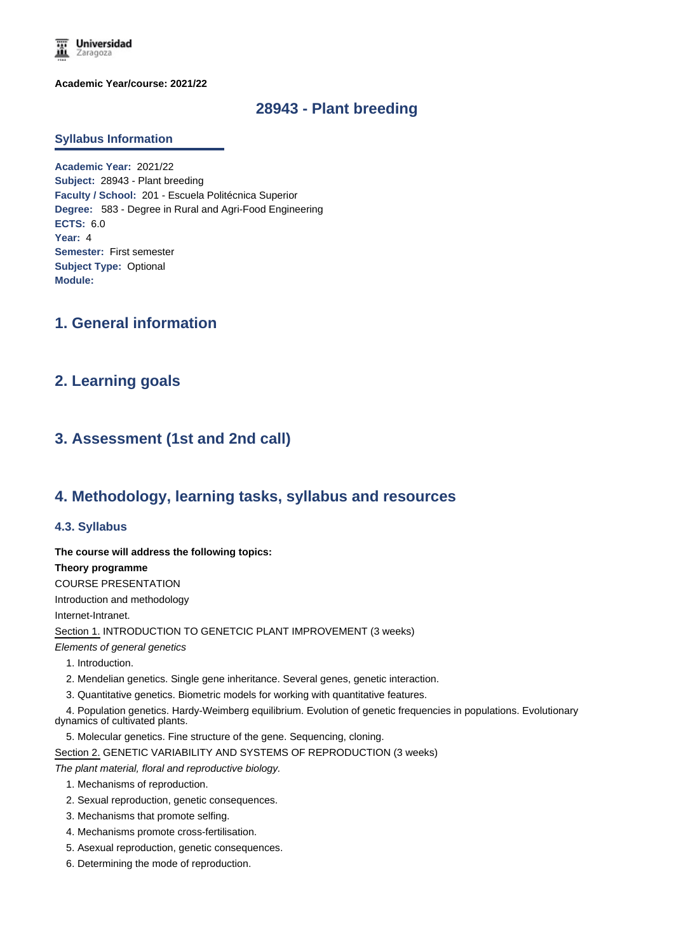

**Academic Year/course: 2021/22**

# **28943 - Plant breeding**

### **Syllabus Information**

**Academic Year:** 2021/22 **Subject:** 28943 - Plant breeding **Faculty / School:** 201 - Escuela Politécnica Superior **Degree:** 583 - Degree in Rural and Agri-Food Engineering **ECTS:** 6.0 **Year:** 4 **Semester:** First semester **Subject Type:** Optional **Module:**

# **1. General information**

## **2. Learning goals**

# **3. Assessment (1st and 2nd call)**

## **4. Methodology, learning tasks, syllabus and resources**

### **4.3. Syllabus**

**The course will address the following topics:** 

#### **Theory programme**

COURSE PRESENTATION

Introduction and methodology

Internet-Intranet.

Section 1. INTRODUCTION TO GENETCIC PLANT IMPROVEMENT (3 weeks)

*Elements of general genetics*

- 1. Introduction.
- 2. Mendelian genetics. Single gene inheritance. Several genes, genetic interaction.
- 3. Quantitative genetics. Biometric models for working with quantitative features.

 4. Population genetics. Hardy-Weimberg equilibrium. Evolution of genetic frequencies in populations. Evolutionary dynamics of cultivated plants.

5. Molecular genetics. Fine structure of the gene. Sequencing, cloning.

Section 2. GENETIC VARIABILITY AND SYSTEMS OF REPRODUCTION (3 weeks)

*The plant material, floral and reproductive biology.*

- 1. Mechanisms of reproduction.
- 2. Sexual reproduction, genetic consequences.
- 3. Mechanisms that promote selfing.
- 4. Mechanisms promote cross-fertilisation.
- 5. Asexual reproduction, genetic consequences.
- 6. Determining the mode of reproduction.